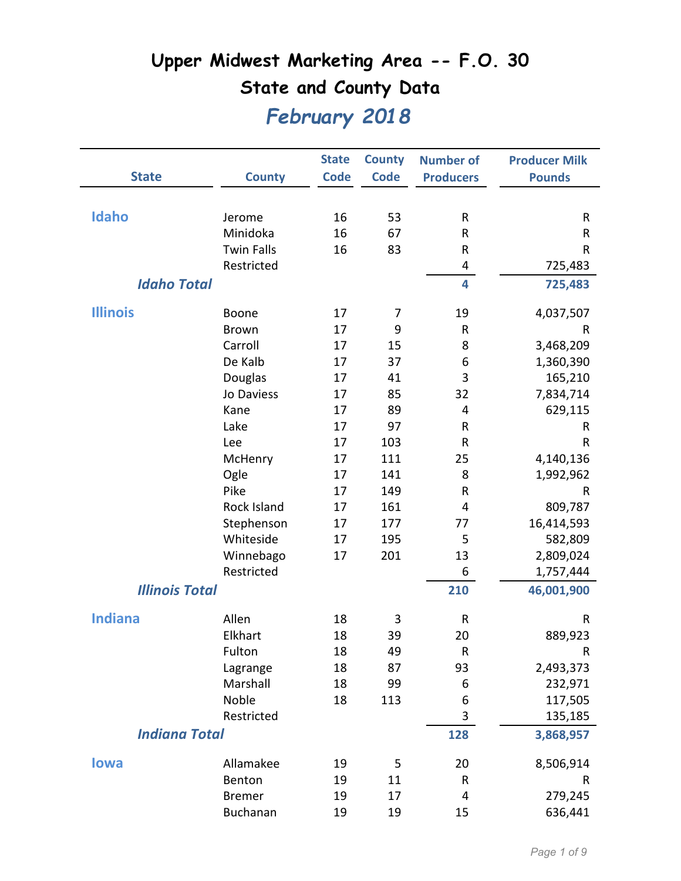|                       |                   | <b>State</b> | <b>County</b> | <b>Number of</b> | <b>Producer Milk</b> |
|-----------------------|-------------------|--------------|---------------|------------------|----------------------|
| <b>State</b>          | <b>County</b>     | <b>Code</b>  | <b>Code</b>   | <b>Producers</b> | <b>Pounds</b>        |
|                       |                   |              |               |                  |                      |
| Idaho                 | Jerome            | 16           | 53            | ${\sf R}$        | $\mathsf{R}$         |
|                       | Minidoka          | 16           | 67            | R                | R                    |
|                       | <b>Twin Falls</b> | 16           | 83            | R                | $\sf R$              |
|                       | Restricted        |              |               | 4                | 725,483              |
| <b>Idaho Total</b>    |                   |              |               | 4                | 725,483              |
| <b>Illinois</b>       | Boone             | 17           | 7             | 19               | 4,037,507            |
|                       | <b>Brown</b>      | 17           | 9             | ${\sf R}$        | R                    |
|                       | Carroll           | 17           | 15            | 8                | 3,468,209            |
|                       | De Kalb           | 17           | 37            | 6                | 1,360,390            |
|                       | Douglas           | 17           | 41            | 3                | 165,210              |
|                       | Jo Daviess        | 17           | 85            | 32               | 7,834,714            |
|                       | Kane              | 17           | 89            | 4                | 629,115              |
|                       | Lake              | 17           | 97            | ${\sf R}$        | R                    |
|                       | Lee               | 17           | 103           | R                | R                    |
|                       | McHenry           | 17           | 111           | 25               | 4,140,136            |
|                       | Ogle              | 17           | 141           | 8                | 1,992,962            |
|                       | Pike              | 17           | 149           | ${\sf R}$        | R                    |
|                       | Rock Island       | 17           | 161           | 4                | 809,787              |
|                       | Stephenson        | 17           | 177           | 77               | 16,414,593           |
|                       | Whiteside         | 17           | 195           | 5                | 582,809              |
|                       | Winnebago         | 17           | 201           | 13               | 2,809,024            |
|                       | Restricted        |              |               | 6                | 1,757,444            |
| <b>Illinois Total</b> |                   |              |               | 210              | 46,001,900           |
| <b>Indiana</b>        | Allen             | 18           | 3             | R                | R                    |
|                       | Elkhart           | 18           | 39            | 20               | 889,923              |
|                       | Fulton            | 18           | 49            | ${\sf R}$        | $\mathsf R$          |
|                       | Lagrange          | 18           | 87            | 93               | 2,493,373            |
|                       | Marshall          | 18           | 99            | 6                | 232,971              |
|                       | Noble             | 18           | 113           | 6                | 117,505              |
|                       | Restricted        |              |               | 3                | 135,185              |
| <b>Indiana Total</b>  |                   |              |               | 128              | 3,868,957            |
| <b>lowa</b>           | Allamakee         | 19           | 5             | 20               | 8,506,914            |
|                       | Benton            | 19           | 11            | R                | R                    |
|                       | <b>Bremer</b>     | 19           | 17            | 4                | 279,245              |
|                       | Buchanan          | 19           | 19            | 15               | 636,441              |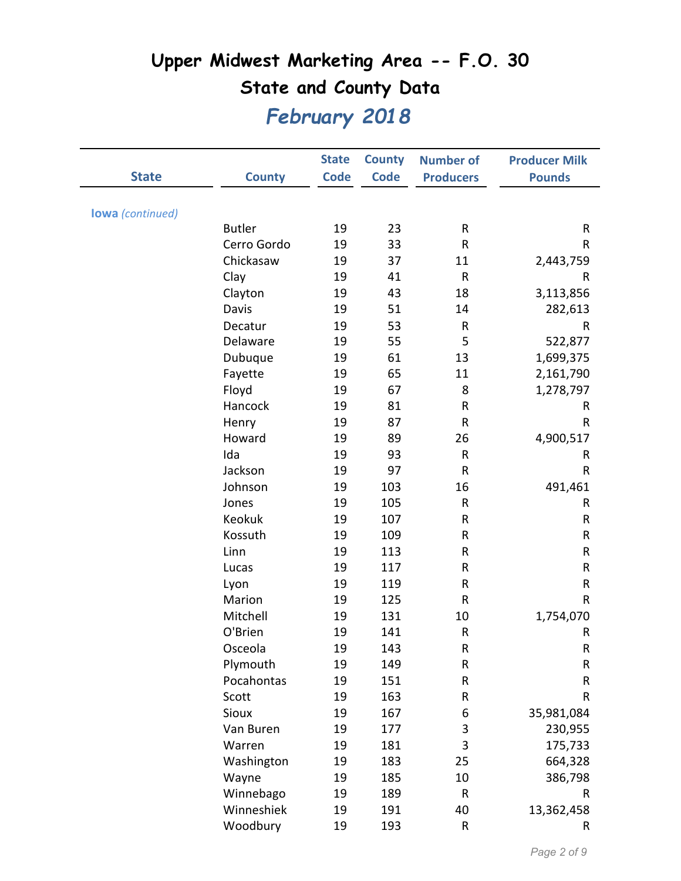|                         |               | <b>State</b> | <b>County</b> | <b>Number of</b> | <b>Producer Milk</b> |
|-------------------------|---------------|--------------|---------------|------------------|----------------------|
| <b>State</b>            | <b>County</b> | <b>Code</b>  | <b>Code</b>   | <b>Producers</b> | <b>Pounds</b>        |
|                         |               |              |               |                  |                      |
| <b>lowa</b> (continued) |               |              |               |                  |                      |
|                         | <b>Butler</b> | 19           | 23            | R                | ${\sf R}$            |
|                         | Cerro Gordo   | 19           | 33            | R                | R                    |
|                         | Chickasaw     | 19           | 37            | 11               | 2,443,759            |
|                         | Clay          | 19           | 41            | ${\sf R}$        | R                    |
|                         | Clayton       | 19           | 43            | 18               | 3,113,856            |
|                         | Davis         | 19           | 51            | 14               | 282,613              |
|                         | Decatur       | 19           | 53            | ${\sf R}$        | R                    |
|                         | Delaware      | 19           | 55            | 5                | 522,877              |
|                         | Dubuque       | 19           | 61            | 13               | 1,699,375            |
|                         | Fayette       | 19           | 65            | 11               | 2,161,790            |
|                         | Floyd         | 19           | 67            | 8                | 1,278,797            |
|                         | Hancock       | 19           | 81            | R                | R                    |
|                         | Henry         | 19           | 87            | R                | $\sf R$              |
|                         | Howard        | 19           | 89            | 26               | 4,900,517            |
|                         | Ida           | 19           | 93            | ${\sf R}$        | R                    |
|                         | Jackson       | 19           | 97            | R                | $\sf R$              |
|                         | Johnson       | 19           | 103           | 16               | 491,461              |
|                         | Jones         | 19           | 105           | R                | R                    |
|                         | Keokuk        | 19           | 107           | R                | R                    |
|                         | Kossuth       | 19           | 109           | R                | R                    |
|                         | Linn          | 19           | 113           | R                | ${\sf R}$            |
|                         | Lucas         | 19           | 117           | R                | ${\sf R}$            |
|                         | Lyon          | 19           | 119           | R                | ${\sf R}$            |
|                         | Marion        | 19           | 125           | R                | R                    |
|                         | Mitchell      | 19           | 131           | 10               | 1,754,070            |
|                         | O'Brien       | 19           | 141           | R                | R                    |
|                         | Osceola       | 19           | 143           | R                | ${\sf R}$            |
|                         | Plymouth      | 19           | 149           | R                | ${\sf R}$            |
|                         | Pocahontas    | 19           | 151           | R                | R                    |
|                         | Scott         | 19           | 163           | R                | R                    |
|                         | Sioux         | 19           | 167           | 6                | 35,981,084           |
|                         | Van Buren     | 19           | 177           | 3                | 230,955              |
|                         | Warren        | 19           | 181           | 3                | 175,733              |
|                         | Washington    | 19           | 183           | 25               | 664,328              |
|                         | Wayne         | 19           | 185           | 10               | 386,798              |
|                         | Winnebago     | 19           | 189           | ${\sf R}$        | R                    |
|                         | Winneshiek    | 19           | 191           | 40               | 13,362,458           |
|                         | Woodbury      | 19           | 193           | R                | R                    |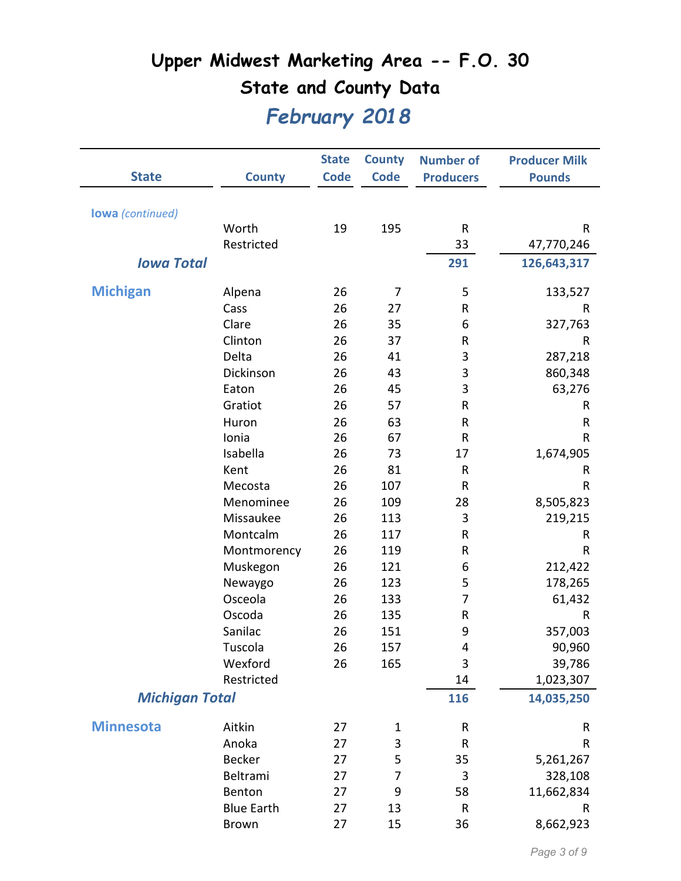|                         |                   | <b>State</b> | <b>County</b>  | <b>Number of</b> | <b>Producer Milk</b> |
|-------------------------|-------------------|--------------|----------------|------------------|----------------------|
| <b>State</b>            | <b>County</b>     | <b>Code</b>  | <b>Code</b>    | <b>Producers</b> | <b>Pounds</b>        |
|                         |                   |              |                |                  |                      |
| <b>lowa</b> (continued) |                   |              |                |                  |                      |
|                         | Worth             | 19           | 195            | R                | R                    |
|                         | Restricted        |              |                | 33               | 47,770,246           |
| <b>Iowa Total</b>       |                   |              |                | 291              | 126,643,317          |
|                         |                   |              |                |                  |                      |
| <b>Michigan</b>         | Alpena            | 26           | 7              | 5                | 133,527              |
|                         | Cass              | 26           | 27             | R                | R                    |
|                         | Clare             | 26           | 35             | 6                | 327,763              |
|                         | Clinton           | 26           | 37             | R                | R                    |
|                         | Delta             | 26           | 41             | 3                | 287,218              |
|                         | Dickinson         | 26           | 43             | 3                | 860,348              |
|                         | Eaton             | 26           | 45             | 3                | 63,276               |
|                         | Gratiot           | 26           | 57             | R                | R                    |
|                         | Huron             | 26           | 63             | R                | R                    |
|                         | Ionia             | 26           | 67             | R                | R                    |
|                         | Isabella          | 26           | 73             | 17               | 1,674,905            |
|                         | Kent              | 26           | 81             | R                | R                    |
|                         | Mecosta           | 26           | 107            | R                | R                    |
|                         | Menominee         | 26           | 109            | 28               | 8,505,823            |
|                         | Missaukee         | 26           | 113            | 3                | 219,215              |
|                         | Montcalm          | 26           | 117            | R                | R                    |
|                         | Montmorency       | 26           | 119            | R                | R                    |
|                         | Muskegon          | 26           | 121            | 6                | 212,422              |
|                         | Newaygo           | 26           | 123            | 5                | 178,265              |
|                         | Osceola           | 26           | 133            | 7                | 61,432               |
|                         | Oscoda            | 26           | 135            | R                | R                    |
|                         | Sanilac           | 26           | 151            | 9                | 357,003              |
|                         | Tuscola           | 26           | 157            | 4                | 90,960               |
|                         | Wexford           | 26           | 165            | 3                | 39,786               |
|                         | Restricted        |              |                | 14               | 1,023,307            |
| <b>Michigan Total</b>   |                   |              |                | 116              | 14,035,250           |
| <b>Minnesota</b>        | Aitkin            | 27           | 1              | R                | R                    |
|                         | Anoka             | 27           | 3              | R                | R                    |
|                         | <b>Becker</b>     | 27           | 5              | 35               | 5,261,267            |
|                         | Beltrami          | 27           | $\overline{7}$ | 3                | 328,108              |
|                         | Benton            | 27           | 9              | 58               | 11,662,834           |
|                         | <b>Blue Earth</b> | 27           | 13             | R                | R                    |
|                         | Brown             | 27           | 15             | 36               | 8,662,923            |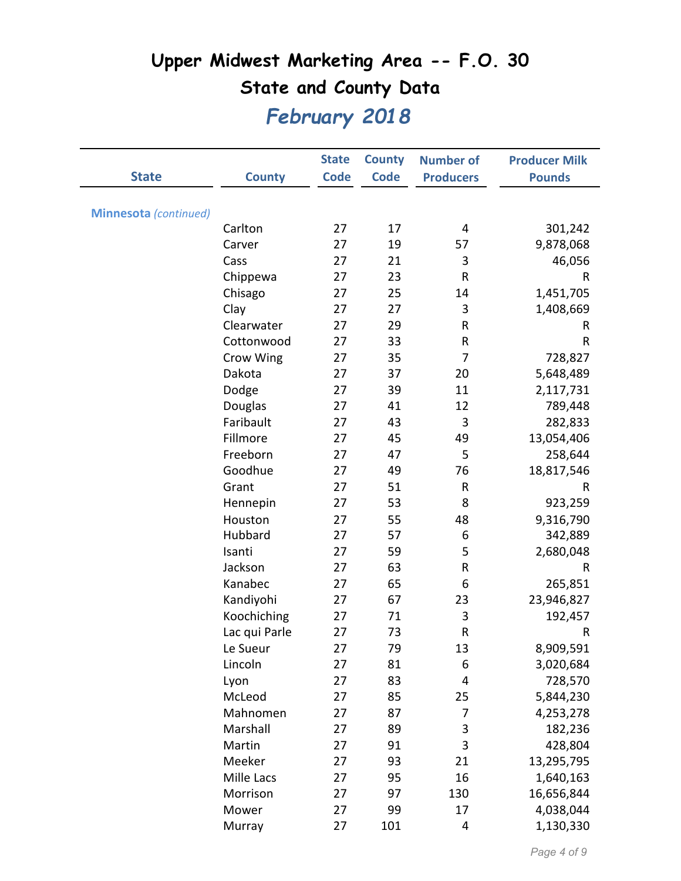|                              |               | <b>State</b> | <b>County</b> | <b>Number of</b> | <b>Producer Milk</b> |
|------------------------------|---------------|--------------|---------------|------------------|----------------------|
| <b>State</b>                 | <b>County</b> | <b>Code</b>  | <b>Code</b>   | <b>Producers</b> | <b>Pounds</b>        |
|                              |               |              |               |                  |                      |
| <b>Minnesota</b> (continued) |               |              |               |                  |                      |
|                              | Carlton       | 27           | 17            | 4                | 301,242              |
|                              | Carver        | 27           | 19            | 57               | 9,878,068            |
|                              | Cass          | 27           | 21            | 3                | 46,056               |
|                              | Chippewa      | 27           | 23            | $\mathsf{R}$     | R                    |
|                              | Chisago       | 27           | 25            | 14               | 1,451,705            |
|                              | Clay          | 27           | 27            | $\mathbf{3}$     | 1,408,669            |
|                              | Clearwater    | 27           | 29            | $\mathsf{R}$     | R                    |
|                              | Cottonwood    | 27           | 33            | R                | $\sf R$              |
|                              | Crow Wing     | 27           | 35            | 7                | 728,827              |
|                              | Dakota        | 27           | 37            | 20               | 5,648,489            |
|                              | Dodge         | 27           | 39            | 11               | 2,117,731            |
|                              | Douglas       | 27           | 41            | 12               | 789,448              |
|                              | Faribault     | 27           | 43            | 3                | 282,833              |
|                              | Fillmore      | 27           | 45            | 49               | 13,054,406           |
|                              | Freeborn      | 27           | 47            | 5                | 258,644              |
|                              | Goodhue       | 27           | 49            | 76               | 18,817,546           |
|                              | Grant         | 27           | 51            | ${\sf R}$        | R                    |
|                              | Hennepin      | 27           | 53            | 8                | 923,259              |
|                              | Houston       | 27           | 55            | 48               | 9,316,790            |
|                              | Hubbard       | 27           | 57            | 6                | 342,889              |
|                              | Isanti        | 27           | 59            | 5                | 2,680,048            |
|                              | Jackson       | 27           | 63            | ${\sf R}$        | R                    |
|                              | Kanabec       | 27           | 65            | 6                | 265,851              |
|                              | Kandiyohi     | 27           | 67            | 23               | 23,946,827           |
|                              | Koochiching   | 27           | 71            | 3                | 192,457              |
|                              | Lac qui Parle | 27           | 73            | R                | R                    |
|                              | Le Sueur      | 27           | 79            | 13               | 8,909,591            |
|                              | Lincoln       | 27           | 81            | 6                | 3,020,684            |
|                              | Lyon          | 27           | 83            | 4                | 728,570              |
|                              | McLeod        | 27           | 85            | 25               | 5,844,230            |
|                              | Mahnomen      | 27           | 87            | 7                | 4,253,278            |
|                              | Marshall      | 27           | 89            | 3                | 182,236              |
|                              | Martin        | 27           | 91            | 3                | 428,804              |
|                              | Meeker        | 27           | 93            | 21               | 13,295,795           |
|                              | Mille Lacs    | 27           | 95            | 16               | 1,640,163            |
|                              | Morrison      | 27           | 97            | 130              | 16,656,844           |
|                              | Mower         | 27           | 99            | 17               | 4,038,044            |
|                              | Murray        | 27           | 101           | 4                | 1,130,330            |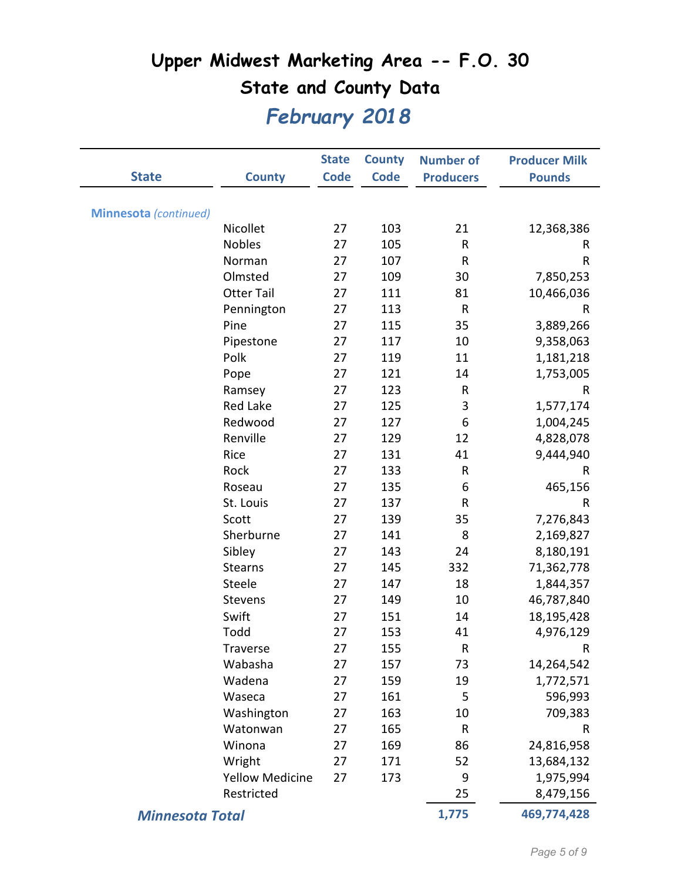|                              |                        | <b>State</b> | <b>County</b> | <b>Number of</b> | <b>Producer Milk</b> |
|------------------------------|------------------------|--------------|---------------|------------------|----------------------|
| <b>State</b>                 | <b>County</b>          | <b>Code</b>  | <b>Code</b>   | <b>Producers</b> | <b>Pounds</b>        |
|                              |                        |              |               |                  |                      |
| <b>Minnesota</b> (continued) |                        |              |               |                  |                      |
|                              | Nicollet               | 27           | 103           | 21               | 12,368,386           |
|                              | <b>Nobles</b>          | 27           | 105           | ${\sf R}$        | R                    |
|                              | Norman                 | 27           | 107           | ${\sf R}$        | $\sf R$              |
|                              | Olmsted                | 27           | 109           | 30               | 7,850,253            |
|                              | <b>Otter Tail</b>      | 27           | 111           | 81               | 10,466,036           |
|                              | Pennington             | 27           | 113           | ${\sf R}$        | $\sf R$              |
|                              | Pine                   | 27           | 115           | 35               | 3,889,266            |
|                              | Pipestone              | 27           | 117           | 10               | 9,358,063            |
|                              | Polk                   | 27           | 119           | 11               | 1,181,218            |
|                              | Pope                   | 27           | 121           | 14               | 1,753,005            |
|                              | Ramsey                 | 27           | 123           | R                | R                    |
|                              | <b>Red Lake</b>        | 27           | 125           | 3                | 1,577,174            |
|                              | Redwood                | 27           | 127           | 6                | 1,004,245            |
|                              | Renville               | 27           | 129           | 12               | 4,828,078            |
|                              | Rice                   | 27           | 131           | 41               | 9,444,940            |
|                              | Rock                   | 27           | 133           | ${\sf R}$        | $\sf R$              |
|                              | Roseau                 | 27           | 135           | 6                | 465,156              |
|                              | St. Louis              | 27           | 137           | R                | R                    |
|                              | Scott                  | 27           | 139           | 35               | 7,276,843            |
|                              | Sherburne              | 27           | 141           | 8                | 2,169,827            |
|                              | Sibley                 | 27           | 143           | 24               | 8,180,191            |
|                              | <b>Stearns</b>         | 27           | 145           | 332              | 71,362,778           |
|                              | Steele                 | 27           | 147           | 18               | 1,844,357            |
|                              | Stevens                | 27           | 149           | 10               | 46,787,840           |
|                              | Swift                  | 27           | 151           | 14               | 18,195,428           |
|                              | Todd                   | 27           | 153           | 41               | 4,976,129            |
|                              | Traverse               | 27           | 155           | ${\sf R}$        | $\sf R$              |
|                              | Wabasha                | 27           | 157           | 73               | 14,264,542           |
|                              | Wadena                 | 27           | 159           | 19               | 1,772,571            |
|                              | Waseca                 | 27           | 161           | 5                | 596,993              |
|                              | Washington             | 27           | 163           | 10               | 709,383              |
|                              | Watonwan               | 27           | 165           | R                | $\sf R$              |
|                              | Winona                 | 27           | 169           | 86               | 24,816,958           |
|                              | Wright                 | 27           | 171           | 52               | 13,684,132           |
|                              | <b>Yellow Medicine</b> | 27           | 173           | 9                | 1,975,994            |
|                              | Restricted             |              |               | 25               | 8,479,156            |
| <b>Minnesota Total</b>       |                        |              | 1,775         | 469,774,428      |                      |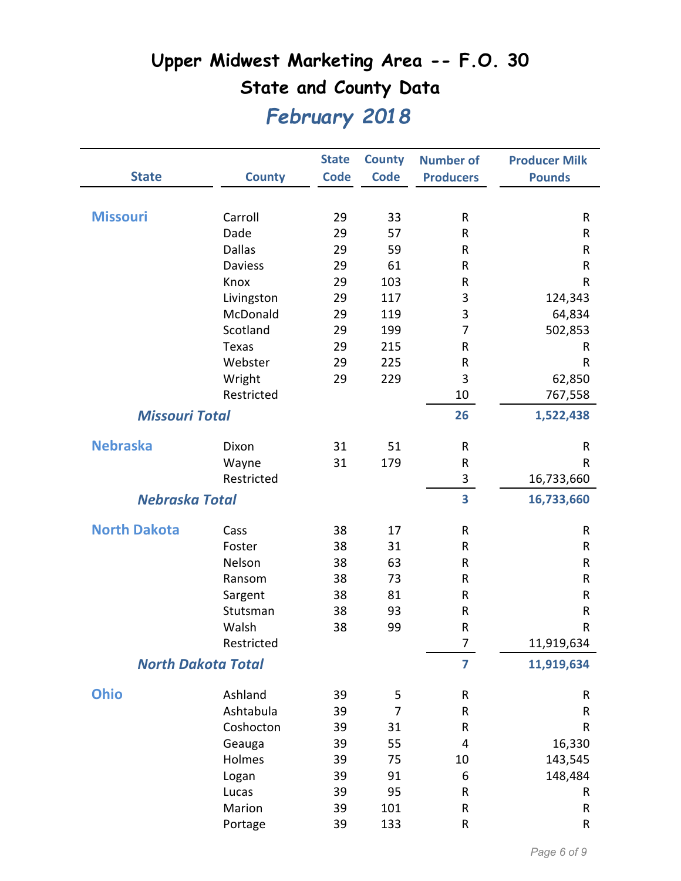|                       |                           | <b>State</b> | <b>County</b> | <b>Number of</b>        | <b>Producer Milk</b> |
|-----------------------|---------------------------|--------------|---------------|-------------------------|----------------------|
| <b>State</b>          | <b>County</b>             | <b>Code</b>  | <b>Code</b>   | <b>Producers</b>        | <b>Pounds</b>        |
|                       |                           |              |               |                         |                      |
| <b>Missouri</b>       | Carroll                   | 29           | 33            | ${\sf R}$               | $\mathsf R$          |
|                       | Dade                      | 29           | 57            | $\mathsf{R}$            | R                    |
|                       | <b>Dallas</b>             | 29           | 59            | ${\sf R}$               | $\sf R$              |
|                       | <b>Daviess</b>            | 29           | 61            | ${\sf R}$               | $\mathsf R$          |
|                       | Knox                      | 29           | 103           | R                       | $\mathsf R$          |
|                       | Livingston                | 29           | 117           | 3                       | 124,343              |
|                       | McDonald                  | 29           | 119           | 3                       | 64,834               |
|                       | Scotland                  | 29           | 199           | 7                       | 502,853              |
|                       | Texas                     | 29           | 215           | ${\sf R}$               | R                    |
|                       | Webster                   | 29           | 225           | R                       | $\mathsf R$          |
|                       | Wright                    | 29           | 229           | 3                       | 62,850               |
|                       | Restricted                |              |               | 10                      | 767,558              |
| <b>Missouri Total</b> |                           |              |               | 26                      | 1,522,438            |
| <b>Nebraska</b>       | Dixon                     | 31           | 51            | ${\sf R}$               | R                    |
|                       | Wayne                     | 31           | 179           | ${\sf R}$               | $\mathsf{R}$         |
|                       | Restricted                |              |               | 3                       | 16,733,660           |
| <b>Nebraska Total</b> |                           |              |               | $\overline{\mathbf{3}}$ | 16,733,660           |
| <b>North Dakota</b>   | Cass                      | 38           | 17            | ${\sf R}$               | $\mathsf R$          |
|                       | Foster                    | 38           | 31            | ${\sf R}$               | $\sf R$              |
|                       | Nelson                    | 38           | 63            | ${\sf R}$               | $\mathsf R$          |
|                       | Ransom                    | 38           | 73            | ${\sf R}$               | $\sf R$              |
|                       | Sargent                   | 38           | 81            | ${\sf R}$               | ${\sf R}$            |
|                       | Stutsman                  | 38           | 93            | ${\sf R}$               | $\mathsf R$          |
|                       | Walsh                     | 38           | 99            | R                       | $\sf R$              |
|                       | Restricted                |              |               | $\overline{7}$          | 11,919,634           |
|                       | <b>North Dakota Total</b> |              |               | $\overline{\mathbf{z}}$ | 11,919,634           |
| <b>Ohio</b>           | Ashland                   | 39           | 5             | ${\sf R}$               | ${\sf R}$            |
|                       | Ashtabula                 | 39           | 7             | ${\sf R}$               | ${\sf R}$            |
|                       | Coshocton                 | 39           | 31            | ${\sf R}$               | ${\sf R}$            |
|                       | Geauga                    | 39           | 55            | 4                       | 16,330               |
|                       | Holmes                    | 39           | 75            | 10                      | 143,545              |
|                       | Logan                     | 39           | 91            | 6                       | 148,484              |
|                       | Lucas                     | 39           | 95            | ${\sf R}$               | R                    |
|                       | Marion                    | 39           | 101           | ${\sf R}$               | ${\sf R}$            |
|                       | Portage                   | 39           | 133           | ${\sf R}$               | ${\sf R}$            |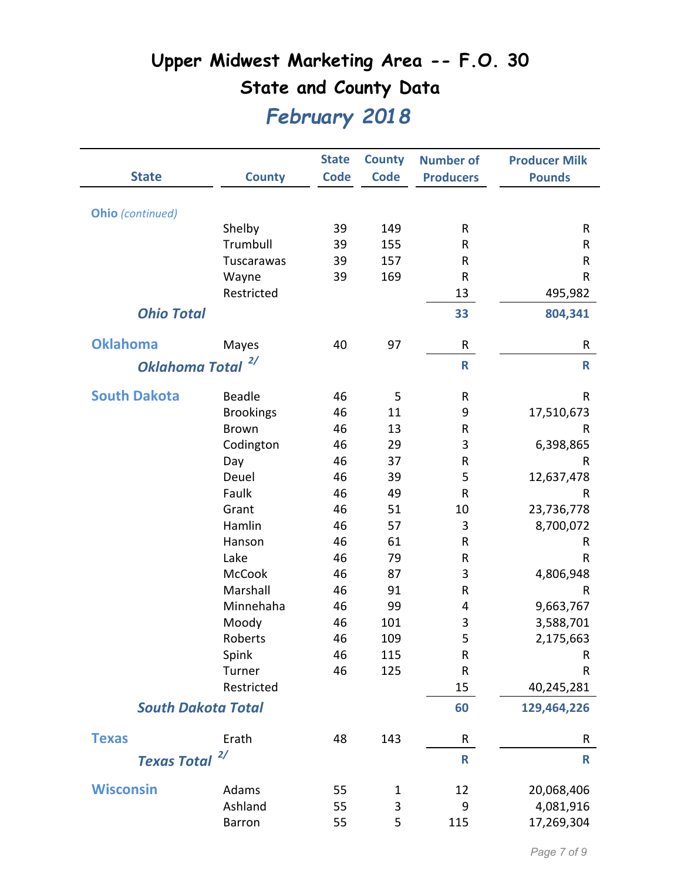|                           |                                  | <b>State</b> | <b>County</b><br><b>Code</b> | <b>Number of</b> | <b>Producer Milk</b>       |
|---------------------------|----------------------------------|--------------|------------------------------|------------------|----------------------------|
| <b>State</b>              | <b>County</b>                    | <b>Code</b>  |                              | <b>Producers</b> | <b>Pounds</b>              |
|                           |                                  |              |                              |                  |                            |
| Ohio (continued)          | Shelby                           | 39           | 149                          | ${\sf R}$        | R                          |
|                           | Trumbull                         | 39           | 155                          | $\mathsf{R}$     | R                          |
|                           | Tuscarawas                       | 39           | 157                          | $\mathsf{R}$     | ${\sf R}$                  |
|                           | Wayne                            | 39           | 169                          | $\mathsf{R}$     | $\mathsf{R}$               |
|                           | Restricted                       |              |                              | 13               | 495,982                    |
|                           |                                  |              |                              |                  |                            |
| <b>Ohio Total</b>         |                                  |              |                              | 33               | 804,341                    |
| <b>Oklahoma</b>           | Mayes                            | 40           | 97                           | R                | ${\sf R}$                  |
| <b>Oklahoma Total</b>     | 2/                               |              |                              | R                | $\mathsf{R}$               |
| <b>South Dakota</b>       | <b>Beadle</b>                    | 46           | 5                            | ${\sf R}$        | ${\sf R}$                  |
|                           |                                  | 46           | 11                           | 9                |                            |
|                           | <b>Brookings</b><br><b>Brown</b> | 46           | 13                           | ${\sf R}$        | 17,510,673<br>$\mathsf{R}$ |
|                           | Codington                        | 46           | 29                           | 3                | 6,398,865                  |
|                           | Day                              | 46           | 37                           | ${\sf R}$        | R                          |
|                           | Deuel                            | 46           | 39                           | 5                | 12,637,478                 |
|                           | Faulk                            | 46           | 49                           | ${\sf R}$        | $\mathsf R$                |
|                           | Grant                            | 46           | 51                           | 10               | 23,736,778                 |
|                           | Hamlin                           | 46           | 57                           | 3                | 8,700,072                  |
|                           | Hanson                           | 46           | 61                           | ${\sf R}$        | R                          |
|                           | Lake                             | 46           | 79                           | $\mathsf{R}$     | $\mathsf{R}$               |
|                           | <b>McCook</b>                    | 46           | 87                           | 3                | 4,806,948                  |
|                           | Marshall                         | 46           | 91                           | ${\sf R}$        | R                          |
|                           | Minnehaha                        | 46           | 99                           | 4                | 9,663,767                  |
|                           | Moody                            | 46           | 101                          | 3                | 3,588,701                  |
|                           | Roberts                          | 46           | 109                          | 5                | 2,175,663                  |
|                           | Spink                            | 46           | 115                          | ${\sf R}$        | R                          |
|                           | Turner                           | 46           | 125                          | ${\sf R}$        | ${\sf R}$                  |
|                           | Restricted                       |              |                              | 15               | 40,245,281                 |
| <b>South Dakota Total</b> |                                  |              |                              | 60               | 129,464,226                |
| <b>Texas</b>              | Erath                            | 48           | 143                          | R                | R                          |
| <b>Texas Total</b>        | 2/                               |              |                              | $\mathsf{R}$     | $\mathbf R$                |
|                           |                                  |              |                              |                  |                            |
| <b>Wisconsin</b>          | Adams                            | 55           | 1                            | 12               | 20,068,406                 |
|                           | Ashland                          | 55           | 3                            | 9                | 4,081,916                  |
|                           | <b>Barron</b>                    | 55           | 5                            | 115              | 17,269,304                 |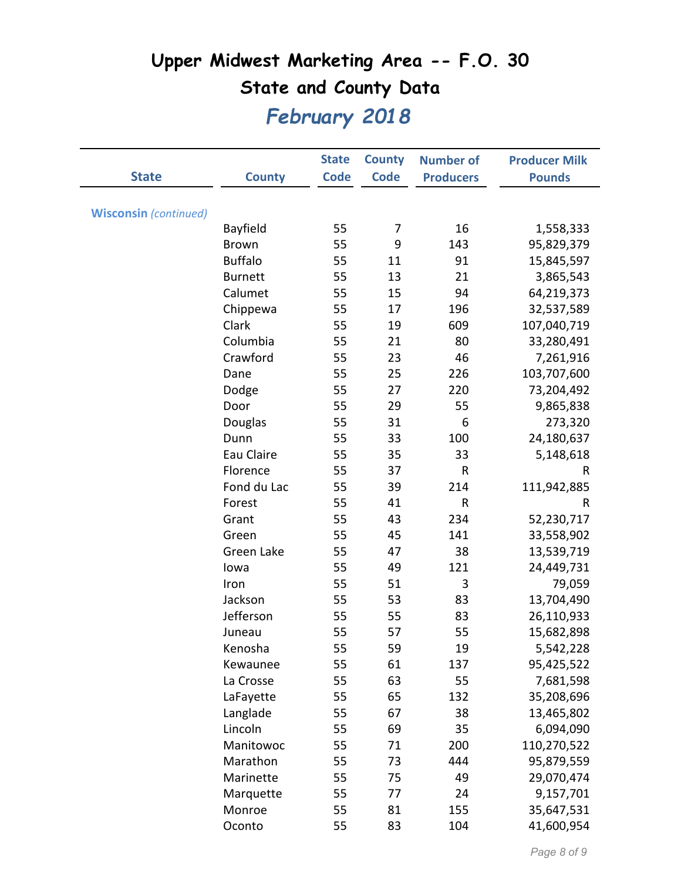|                              |                | <b>State</b> | <b>County</b> | <b>Number of</b> | <b>Producer Milk</b> |
|------------------------------|----------------|--------------|---------------|------------------|----------------------|
| <b>State</b>                 | <b>County</b>  | <b>Code</b>  | <b>Code</b>   | <b>Producers</b> | <b>Pounds</b>        |
|                              |                |              |               |                  |                      |
| <b>Wisconsin</b> (continued) |                |              |               |                  |                      |
|                              | Bayfield       | 55           | 7             | 16               | 1,558,333            |
|                              | <b>Brown</b>   | 55           | 9             | 143              | 95,829,379           |
|                              | <b>Buffalo</b> | 55           | 11            | 91               | 15,845,597           |
|                              | <b>Burnett</b> | 55           | 13            | 21               | 3,865,543            |
|                              | Calumet        | 55           | 15            | 94               | 64,219,373           |
|                              | Chippewa       | 55           | 17            | 196              | 32,537,589           |
|                              | Clark          | 55           | 19            | 609              | 107,040,719          |
|                              | Columbia       | 55           | 21            | 80               | 33,280,491           |
|                              | Crawford       | 55           | 23            | 46               | 7,261,916            |
|                              | Dane           | 55           | 25            | 226              | 103,707,600          |
|                              | Dodge          | 55           | 27            | 220              | 73,204,492           |
|                              | Door           | 55           | 29            | 55               | 9,865,838            |
|                              | Douglas        | 55           | 31            | 6                | 273,320              |
|                              | Dunn           | 55           | 33            | 100              | 24,180,637           |
|                              | Eau Claire     | 55           | 35            | 33               | 5,148,618            |
|                              | Florence       | 55           | 37            | R                | $\sf R$              |
|                              | Fond du Lac    | 55           | 39            | 214              | 111,942,885          |
|                              | Forest         | 55           | 41            | ${\sf R}$        | R                    |
|                              | Grant          | 55           | 43            | 234              | 52,230,717           |
|                              | Green          | 55           | 45            | 141              | 33,558,902           |
|                              | Green Lake     | 55           | 47            | 38               | 13,539,719           |
|                              | lowa           | 55           | 49            | 121              | 24,449,731           |
|                              | Iron           | 55           | 51            | 3                | 79,059               |
|                              | Jackson        | 55           | 53            | 83               | 13,704,490           |
|                              | Jefferson      | 55           | 55            | 83               | 26,110,933           |
|                              | Juneau         | 55           | 57            | 55               | 15,682,898           |
|                              | Kenosha        | 55           | 59            | 19               | 5,542,228            |
|                              | Kewaunee       | 55           | 61            | 137              | 95,425,522           |
|                              | La Crosse      | 55           | 63            | 55               | 7,681,598            |
|                              | LaFayette      | 55           | 65            | 132              | 35,208,696           |
|                              | Langlade       | 55           | 67            | 38               | 13,465,802           |
|                              | Lincoln        | 55           | 69            | 35               | 6,094,090            |
|                              | Manitowoc      | 55           | 71            | 200              | 110,270,522          |
|                              | Marathon       | 55           | 73            | 444              | 95,879,559           |
|                              | Marinette      | 55           | 75            | 49               | 29,070,474           |
|                              | Marquette      | 55           | 77            | 24               | 9,157,701            |
|                              | Monroe         | 55           | 81            | 155              | 35,647,531           |
|                              | Oconto         | 55           | 83            | 104              | 41,600,954           |